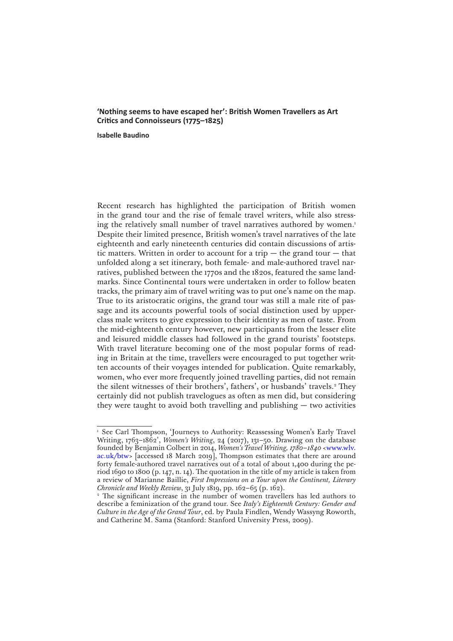## **'Nothing seems to have escaped her': British Women Travellers as Art Critics and Connoisseurs (1775–1825)**

**Isabelle Baudino**

Recent research has highlighted the participation of British women in the grand tour and the rise of female travel writers, while also stressing the relatively small number of travel narratives authored by women.<sup>1</sup> Despite their limited presence, British women's travel narratives of the late eighteenth and early nineteenth centuries did contain discussions of artistic matters. Written in order to account for a trip  $-$  the grand tour  $-$  that unfolded along a set itinerary, both female- and male-authored travel narratives, published between the 1770s and the 1820s, featured the same landmarks. Since Continental tours were undertaken in order to follow beaten tracks, the primary aim of travel writing was to put one's name on the map. True to its aristocratic origins, the grand tour was still a male rite of passage and its accounts powerful tools of social distinction used by upperclass male writers to give expression to their identity as men of taste. From the mid-eighteenth century however, new participants from the lesser elite and leisured middle classes had followed in the grand tourists' footsteps. With travel literature becoming one of the most popular forms of reading in Britain at the time, travellers were encouraged to put together written accounts of their voyages intended for publication. Quite remarkably, women, who ever more frequently joined travelling parties, did not remain the silent witnesses of their brothers', fathers', or husbands' travels.<sup>2</sup> They certainly did not publish travelogues as often as men did, but considering they were taught to avoid both travelling and publishing — two activities

<sup>&</sup>lt;sup>1</sup> See Carl Thompson, 'Journeys to Authority: Reassessing Women's Early Travel Writing, 1763–1862', *Women's Writing*, 24 (2017), 131–50. Drawing on the database founded by Benjamin Colbert in 2014, *Women's Travel Writing, 1780–1840* [<www.wlv.](www.wlv.ac.uk/btw) [ac.uk/btw](www.wlv.ac.uk/btw)> [accessed 18 March 2019], Thompson estimates that there are around forty female-authored travel narratives out of a total of about 1,400 during the period 1690 to 1800 (p. 147, n. 14). The quotation in the title of my article is taken from a review of Marianne Baillie, *First Impressions on a Tour upon the Continent, Literary Chronicle and Weekly Review*, 31 July 1819, pp. 162–65 (p. 162).

<sup>&</sup>lt;sup>2</sup> The significant increase in the number of women travellers has led authors to describe a feminization of the grand tour. See *Italy's Eighteenth Century: Gender and Culture in the Age of the Grand Tour*, ed. by Paula Findlen, Wendy Wassyng Roworth, and Catherine M. Sama (Stanford: Stanford University Press, 2009).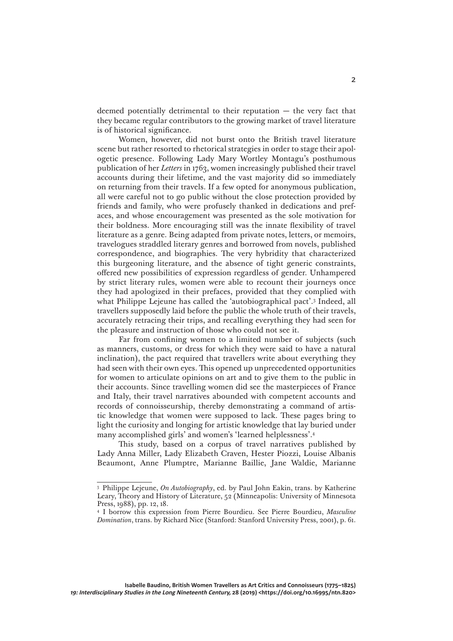deemed potentially detrimental to their reputation  $-$  the very fact that they became regular contributors to the growing market of travel literature is of historical significance.

Women, however, did not burst onto the British travel literature scene but rather resorted to rhetorical strategies in order to stage their apologetic presence. Following Lady Mary Wortley Montagu's posthumous publication of her *Letters* in 1763, women increasingly published their travel accounts during their lifetime, and the vast majority did so immediately on returning from their travels. If a few opted for anonymous publication, all were careful not to go public without the close protection provided by friends and family, who were profusely thanked in dedications and prefaces, and whose encouragement was presented as the sole motivation for their boldness. More encouraging still was the innate flexibility of travel literature as a genre. Being adapted from private notes, letters, or memoirs, travelogues straddled literary genres and borrowed from novels, published correspondence, and biographies. The very hybridity that characterized this burgeoning literature, and the absence of tight generic constraints, offered new possibilities of expression regardless of gender. Unhampered by strict literary rules, women were able to recount their journeys once they had apologized in their prefaces, provided that they complied with what Philippe Lejeune has called the 'autobiographical pact'.3 Indeed, all travellers supposedly laid before the public the whole truth of their travels, accurately retracing their trips, and recalling everything they had seen for the pleasure and instruction of those who could not see it.

Far from confining women to a limited number of subjects (such as manners, customs, or dress for which they were said to have a natural inclination), the pact required that travellers write about everything they had seen with their own eyes. This opened up unprecedented opportunities for women to articulate opinions on art and to give them to the public in their accounts. Since travelling women did see the masterpieces of France and Italy, their travel narratives abounded with competent accounts and records of connoisseurship, thereby demonstrating a command of artistic knowledge that women were supposed to lack. These pages bring to light the curiosity and longing for artistic knowledge that lay buried under many accomplished girls' and women's 'learned helplessness'.4

This study, based on a corpus of travel narratives published by Lady Anna Miller, Lady Elizabeth Craven, Hester Piozzi, Louise Albanis Beaumont, Anne Plumptre, Marianne Baillie, Jane Waldie, Marianne

<sup>3</sup> Philippe Lejeune, *On Autobiography*, ed. by Paul John Eakin, trans. by Katherine Leary, Theory and History of Literature, 52 (Minneapolis: University of Minnesota Press, 1988), pp. 12, 18.

<sup>4</sup> I borrow this expression from Pierre Bourdieu. See Pierre Bourdieu, *Masculine Domination*, trans. by Richard Nice (Stanford: Stanford University Press, 2001), p. 61.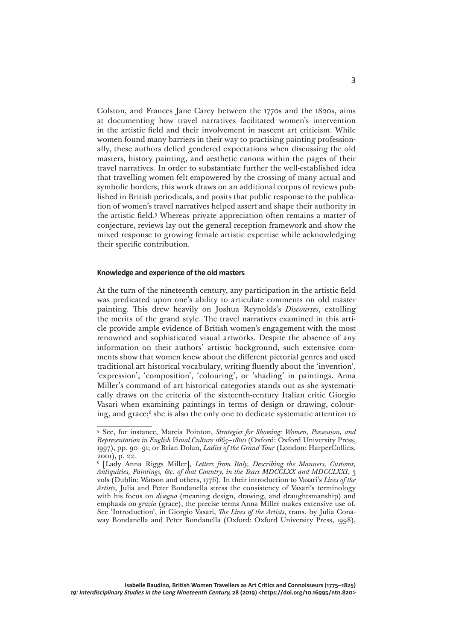Colston, and Frances Jane Carey between the 1770s and the 1820s, aims at documenting how travel narratives facilitated women's intervention in the artistic field and their involvement in nascent art criticism. While women found many barriers in their way to practising painting professionally, these authors defied gendered expectations when discussing the old masters, history painting, and aesthetic canons within the pages of their travel narratives. In order to substantiate further the well-established idea that travelling women felt empowered by the crossing of many actual and symbolic borders, this work draws on an additional corpus of reviews published in British periodicals, and posits that public response to the publication of women's travel narratives helped assert and shape their authority in the artistic field.5 Whereas private appreciation often remains a matter of conjecture, reviews lay out the general reception framework and show the mixed response to growing female artistic expertise while acknowledging their specific contribution.

## **Knowledge and experience of the old masters**

At the turn of the nineteenth century, any participation in the artistic field was predicated upon one's ability to articulate comments on old master painting. This drew heavily on Joshua Reynolds's *Discourses*, extolling the merits of the grand style. The travel narratives examined in this article provide ample evidence of British women's engagement with the most renowned and sophisticated visual artworks. Despite the absence of any information on their authors' artistic background, such extensive comments show that women knew about the different pictorial genres and used traditional art historical vocabulary, writing fluently about the 'invention', 'expression', 'composition', 'colouring', or 'shading' in paintings. Anna Miller's command of art historical categories stands out as she systematically draws on the criteria of the sixteenth-century Italian critic Giorgio Vasari when examining paintings in terms of design or drawing, colouring, and grace;<sup>6</sup> she is also the only one to dedicate systematic attention to

<sup>5</sup> See, for instance, Marcia Pointon, *Strategies for Showing: Women, Possession, and Representation in English Visual Culture 1665–1800* (Oxford: Oxford University Press, 1997), pp. 90–91; or Brian Dolan, *Ladies of the Grand Tour* (London: HarperCollins, 2001), p. 22.

<sup>6</sup> [Lady Anna Riggs Miller], *Letters from Italy, Describing the Manners, Customs, Antiquities, Paintings, &c. of that Country, in the Years MDCCLXX and MDCCLXXI*, 3 vols (Dublin: Watson and others, 1776). In their introduction to Vasari's *Lives of the Artists*, Julia and Peter Bondanella stress the consistency of Vasari's terminology with his focus on *disegno* (meaning design, drawing, and draughtsmanship) and emphasis on *grazia* (grace), the precise terms Anna Miller makes extensive use of. See 'Introduction', in Giorgio Vasari, *The Lives of the Artists*, trans. by Julia Conaway Bondanella and Peter Bondanella (Oxford: Oxford University Press, 1998),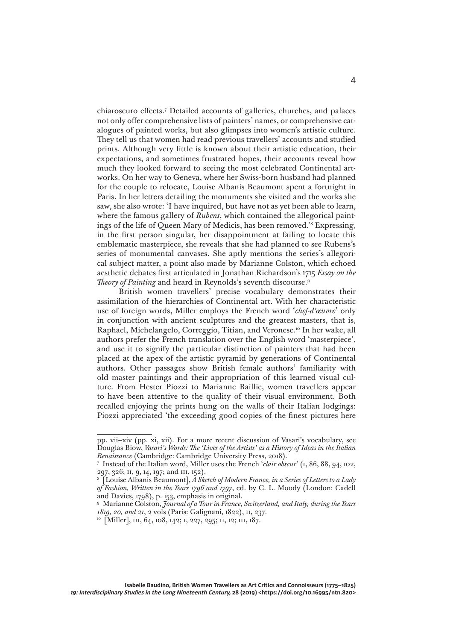chiaroscuro effects.7 Detailed accounts of galleries, churches, and palaces not only offer comprehensive lists of painters' names, or comprehensive catalogues of painted works, but also glimpses into women's artistic culture. They tell us that women had read previous travellers' accounts and studied prints. Although very little is known about their artistic education, their expectations, and sometimes frustrated hopes, their accounts reveal how much they looked forward to seeing the most celebrated Continental artworks. On her way to Geneva, where her Swiss-born husband had planned for the couple to relocate, Louise Albanis Beaumont spent a fortnight in Paris. In her letters detailing the monuments she visited and the works she saw, she also wrote: 'I have inquired, but have not as yet been able to learn, where the famous gallery of *Rubens*, which contained the allegorical paintings of the life of Queen Mary of Medicis, has been removed.'8 Expressing, in the first person singular, her disappointment at failing to locate this emblematic masterpiece, she reveals that she had planned to see Rubens's series of monumental canvases. She aptly mentions the series's allegorical subject matter, a point also made by Marianne Colston, which echoed aesthetic debates first articulated in Jonathan Richardson's 1715 *Essay on the Theory of Painting* and heard in Reynolds's seventh discourse.9

British women travellers' precise vocabulary demonstrates their assimilation of the hierarchies of Continental art. With her characteristic use of foreign words, Miller employs the French word '*chef-d'œuvre*' only in conjunction with ancient sculptures and the greatest masters, that is, Raphael, Michelangelo, Correggio, Titian, and Veronese.10 In her wake, all authors prefer the French translation over the English word 'masterpiece', and use it to signify the particular distinction of painters that had been placed at the apex of the artistic pyramid by generations of Continental authors. Other passages show British female authors' familiarity with old master paintings and their appropriation of this learned visual culture. From Hester Piozzi to Marianne Baillie, women travellers appear to have been attentive to the quality of their visual environment. Both recalled enjoying the prints hung on the walls of their Italian lodgings: Piozzi appreciated 'the exceeding good copies of the finest pictures here

pp. vii–xiv (pp. xi, xii). For a more recent discussion of Vasari's vocabulary, see Douglas Biow, *Vasari's Words: The 'Lives of the Artists' as a History of Ideas in the Italian Renaissance* (Cambridge: Cambridge University Press, 2018).

<sup>7</sup> Instead of the Italian word, Miller uses the French '*clair obscur*' (i, 86, 88, 94, 102, 297, 326; ii, 9, 14, 197; and iii, 152).

<sup>8</sup> [Louise Albanis Beaumont], *A Sketch of Modern France, in a Series of Letters to a Lady of Fashion, Written in the Years 1796 and 1797*, ed. by C. L. Moody (London: Cadell and Davies, 1798), p. 153, emphasis in original.

<sup>9</sup> Marianne Colston, *Journal of a Tour in France, Switzerland, and Italy, during the Years 1819, 20, and 21*, 2 vols (Paris: Galignani, 1822), ii, 237.

<sup>&</sup>lt;sup>10</sup> [Miller], III, 64, 108, 142; I, 227, 295; II, 12; III, 187.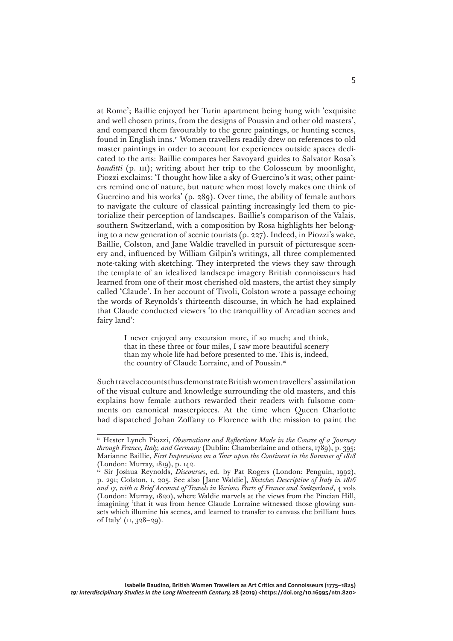at Rome'; Baillie enjoyed her Turin apartment being hung with 'exquisite and well chosen prints, from the designs of Poussin and other old masters', and compared them favourably to the genre paintings, or hunting scenes, found in English inns.<sup>11</sup> Women travellers readily drew on references to old master paintings in order to account for experiences outside spaces dedicated to the arts: Baillie compares her Savoyard guides to Salvator Rosa's *banditti* (p. 111); writing about her trip to the Colosseum by moonlight, Piozzi exclaims: 'I thought how like a sky of Guercino's it was; other painters remind one of nature, but nature when most lovely makes one think of Guercino and his works' (p. 289). Over time, the ability of female authors to navigate the culture of classical painting increasingly led them to pictorialize their perception of landscapes. Baillie's comparison of the Valais, southern Switzerland, with a composition by Rosa highlights her belonging to a new generation of scenic tourists (p. 227). Indeed, in Piozzi's wake, Baillie, Colston, and Jane Waldie travelled in pursuit of picturesque scenery and, influenced by William Gilpin's writings, all three complemented note-taking with sketching. They interpreted the views they saw through the template of an idealized landscape imagery British connoisseurs had learned from one of their most cherished old masters, the artist they simply called 'Claude'. In her account of Tivoli, Colston wrote a passage echoing the words of Reynolds's thirteenth discourse, in which he had explained that Claude conducted viewers 'to the tranquillity of Arcadian scenes and fairy land':

> I never enjoyed any excursion more, if so much; and think, that in these three or four miles, I saw more beautiful scenery than my whole life had before presented to me. This is, indeed, the country of Claude Lorraine, and of Poussin.12

Such travel accounts thus demonstrate British women travellers' assimilation of the visual culture and knowledge surrounding the old masters, and this explains how female authors rewarded their readers with fulsome comments on canonical masterpieces. At the time when Queen Charlotte had dispatched Johan Zoffany to Florence with the mission to paint the

<sup>&</sup>lt;sup>11</sup> Hester Lynch Piozzi, *Observations and Reflections Made in the Course of a Journey through France, Italy, and Germany* (Dublin: Chamberlaine and others, 1789), p. 395; Marianne Baillie, *First Impressions on a Tour upon the Continent in the Summer of 1818*  (London: Murray, 1819), p. 142.

<sup>12</sup> Sir Joshua Reynolds, *Discourses*, ed. by Pat Rogers (London: Penguin, 1992), p. 291; Colston, i, 205. See also [Jane Waldie], *Sketches Descriptive of Italy in 1816 and 17, with a Brief Account of Travels in Various Parts of France and Switzerland*, 4 vols (London: Murray, 1820), where Waldie marvels at the views from the Pincian Hill, imagining 'that it was from hence Claude Lorraine witnessed those glowing sunsets which illumine his scenes, and learned to transfer to canvass the brilliant hues of Italy' (ii, 328–29).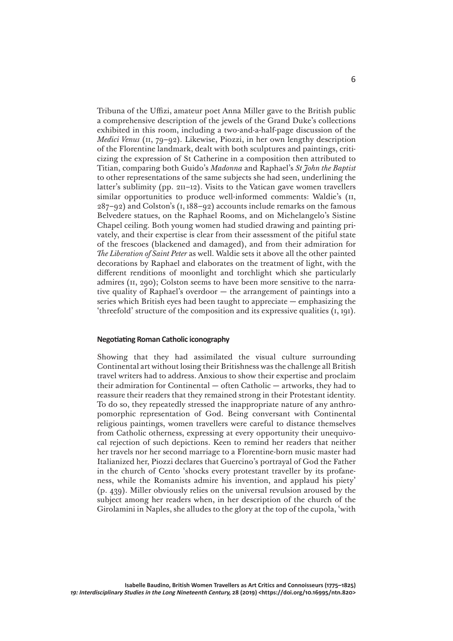Tribuna of the Uffizi, amateur poet Anna Miller gave to the British public a comprehensive description of the jewels of the Grand Duke's collections exhibited in this room, including a two-and-a-half-page discussion of the *Medici Venus* (ii, 79–92). Likewise, Piozzi, in her own lengthy description of the Florentine landmark, dealt with both sculptures and paintings, criticizing the expression of St Catherine in a composition then attributed to Titian, comparing both Guido's *Madonna* and Raphael's *St John the Baptist* to other representations of the same subjects she had seen, underlining the latter's sublimity (pp. 211–12). Visits to the Vatican gave women travellers similar opportunities to produce well-informed comments: Waldie's (II, 287–92) and Colston's (i, 188–92) accounts include remarks on the famous Belvedere statues, on the Raphael Rooms, and on Michelangelo's Sistine Chapel ceiling. Both young women had studied drawing and painting privately, and their expertise is clear from their assessment of the pitiful state of the frescoes (blackened and damaged), and from their admiration for *The Liberation of Saint Peter* as well. Waldie sets it above all the other painted decorations by Raphael and elaborates on the treatment of light, with the different renditions of moonlight and torchlight which she particularly admires (ii, 290); Colston seems to have been more sensitive to the narrative quality of Raphael's overdoor — the arrangement of paintings into a series which British eyes had been taught to appreciate — emphasizing the 'threefold' structure of the composition and its expressive qualities (i, 191).

## **Negotiating Roman Catholic iconography**

Showing that they had assimilated the visual culture surrounding Continental art without losing their Britishness was the challenge all British travel writers had to address. Anxious to show their expertise and proclaim their admiration for Continental — often Catholic — artworks, they had to reassure their readers that they remained strong in their Protestant identity. To do so, they repeatedly stressed the inappropriate nature of any anthropomorphic representation of God. Being conversant with Continental religious paintings, women travellers were careful to distance themselves from Catholic otherness, expressing at every opportunity their unequivocal rejection of such depictions. Keen to remind her readers that neither her travels nor her second marriage to a Florentine-born music master had Italianized her, Piozzi declares that Guercino's portrayal of God the Father in the church of Cento 'shocks every protestant traveller by its profaneness, while the Romanists admire his invention, and applaud his piety' (p. 439). Miller obviously relies on the universal revulsion aroused by the subject among her readers when, in her description of the church of the Girolamini in Naples, she alludes to the glory at the top of the cupola, 'with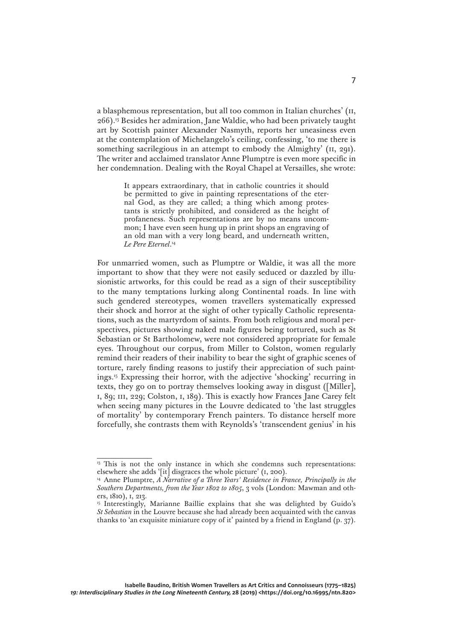a blasphemous representation, but all too common in Italian churches' (ii, 266).13 Besides her admiration, Jane Waldie, who had been privately taught art by Scottish painter Alexander Nasmyth, reports her uneasiness even at the contemplation of Michelangelo's ceiling, confessing, 'to me there is something sacrilegious in an attempt to embody the Almighty' ( $II$ , 291). The writer and acclaimed translator Anne Plumptre is even more specific in her condemnation. Dealing with the Royal Chapel at Versailles, she wrote:

> It appears extraordinary, that in catholic countries it should be permitted to give in painting representations of the eternal God, as they are called; a thing which among protestants is strictly prohibited, and considered as the height of profaneness. Such representations are by no means uncommon; I have even seen hung up in print shops an engraving of an old man with a very long beard, and underneath written, *Le Pere Eternel*. 14

For unmarried women, such as Plumptre or Waldie, it was all the more important to show that they were not easily seduced or dazzled by illusionistic artworks, for this could be read as a sign of their susceptibility to the many temptations lurking along Continental roads. In line with such gendered stereotypes, women travellers systematically expressed their shock and horror at the sight of other typically Catholic representations, such as the martyrdom of saints. From both religious and moral perspectives, pictures showing naked male figures being tortured, such as St Sebastian or St Bartholomew, were not considered appropriate for female eyes. Throughout our corpus, from Miller to Colston, women regularly remind their readers of their inability to bear the sight of graphic scenes of torture, rarely finding reasons to justify their appreciation of such paintings.15 Expressing their horror, with the adjective 'shocking' recurring in texts, they go on to portray themselves looking away in disgust ([Miller], i, 89; iii, 229; Colston, i, 189). This is exactly how Frances Jane Carey felt when seeing many pictures in the Louvre dedicated to 'the last struggles of mortality' by contemporary French painters. To distance herself more forcefully, she contrasts them with Reynolds's 'transcendent genius' in his

<sup>&</sup>lt;sup>13</sup> This is not the only instance in which she condemns such representations: elsewhere she adds '[it] disgraces the whole picture' (i, 200).

<sup>14</sup> Anne Plumptre, *A Narrative of a Three Years' Residence in France, Principally in the Southern Departments, from the Year 1802 to 1805*, 3 vols (London: Mawman and others, 1810), i, 213.

<sup>&</sup>lt;sup>15</sup> Interestingly, Marianne Baillie explains that she was delighted by Guido's *St Sebastian* in the Louvre because she had already been acquainted with the canvas thanks to 'an exquisite miniature copy of it' painted by a friend in England (p. 37).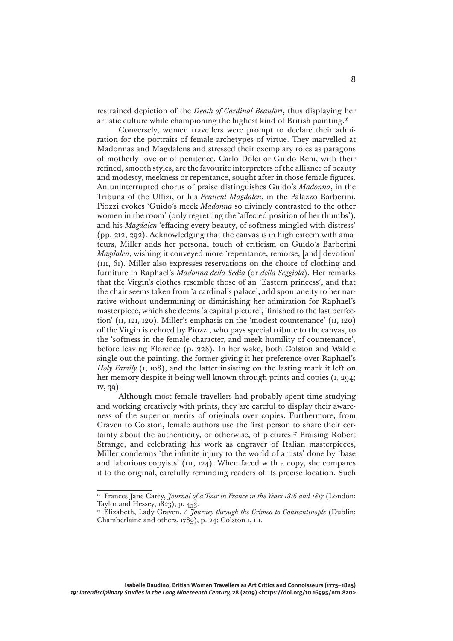restrained depiction of the *Death of Cardinal Beaufort*, thus displaying her artistic culture while championing the highest kind of British painting.16

Conversely, women travellers were prompt to declare their admiration for the portraits of female archetypes of virtue. They marvelled at Madonnas and Magdalens and stressed their exemplary roles as paragons of motherly love or of penitence. Carlo Dolci or Guido Reni, with their refined, smooth styles, are the favourite interpreters of the alliance of beauty and modesty, meekness or repentance, sought after in those female figures. An uninterrupted chorus of praise distinguishes Guido's *Madonna*, in the Tribuna of the Uffizi, or his *Penitent Magdalen*, in the Palazzo Barberini. Piozzi evokes 'Guido's meek *Madonna* so divinely contrasted to the other women in the room' (only regretting the 'affected position of her thumbs'), and his *Magdalen* 'effacing every beauty, of softness mingled with distress' (pp. 212, 292). Acknowledging that the canvas is in high esteem with amateurs, Miller adds her personal touch of criticism on Guido's Barberini *Magdalen*, wishing it conveyed more 'repentance, remorse, [and] devotion' (iii, 61). Miller also expresses reservations on the choice of clothing and furniture in Raphael's *Madonna della Sedia* (or *della Seggiola*). Her remarks that the Virgin's clothes resemble those of an 'Eastern princess', and that the chair seems taken from 'a cardinal's palace', add spontaneity to her narrative without undermining or diminishing her admiration for Raphael's masterpiece, which she deems 'a capital picture', 'finished to the last perfection' (ii, 121, 120). Miller's emphasis on the 'modest countenance' (ii, 120) of the Virgin is echoed by Piozzi, who pays special tribute to the canvas, to the 'softness in the female character, and meek humility of countenance', before leaving Florence (p. 228). In her wake, both Colston and Waldie single out the painting, the former giving it her preference over Raphael's *Holy Family* (i, 108), and the latter insisting on the lasting mark it left on her memory despite it being well known through prints and copies (i, 294; iv, 39).

Although most female travellers had probably spent time studying and working creatively with prints, they are careful to display their awareness of the superior merits of originals over copies. Furthermore, from Craven to Colston, female authors use the first person to share their certainty about the authenticity, or otherwise, of pictures.17 Praising Robert Strange, and celebrating his work as engraver of Italian masterpieces, Miller condemns 'the infinite injury to the world of artists' done by 'base and laborious copyists' (iii, 124). When faced with a copy, she compares it to the original, carefully reminding readers of its precise location. Such

<sup>&</sup>lt;sup>16</sup> Frances Jane Carey, *Journal of a Tour in France in the Years 1816 and 1817* (London: Taylor and Hessey, 1823), p. 453.

<sup>&</sup>lt;sup>17</sup> Elizabeth, Lady Craven, *A Journey through the Crimea to Constantinople* (Dublin: Chamberlaine and others, 1789), p. 24; Colston i, 111.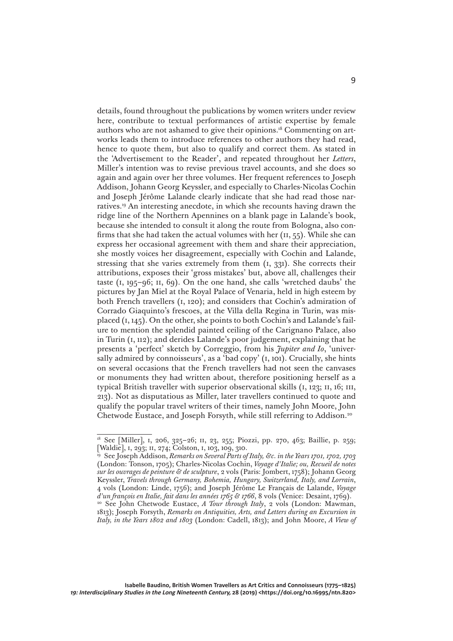details, found throughout the publications by women writers under review here, contribute to textual performances of artistic expertise by female authors who are not ashamed to give their opinions.18 Commenting on artworks leads them to introduce references to other authors they had read, hence to quote them, but also to qualify and correct them. As stated in the 'Advertisement to the Reader', and repeated throughout her *Letters*, Miller's intention was to revise previous travel accounts, and she does so again and again over her three volumes. Her frequent references to Joseph Addison, Johann Georg Keyssler, and especially to Charles-Nicolas Cochin and Joseph Jérôme Lalande clearly indicate that she had read those narratives.19 An interesting anecdote, in which she recounts having drawn the ridge line of the Northern Apennines on a blank page in Lalande's book, because she intended to consult it along the route from Bologna, also confirms that she had taken the actual volumes with her  $(II, 55)$ . While she can express her occasional agreement with them and share their appreciation, she mostly voices her disagreement, especially with Cochin and Lalande, stressing that she varies extremely from them (i, 331). She corrects their attributions, exposes their 'gross mistakes' but, above all, challenges their taste (i, 195–96; ii, 69). On the one hand, she calls 'wretched daubs' the pictures by Jan Miel at the Royal Palace of Venaria, held in high esteem by both French travellers (i, 120); and considers that Cochin's admiration of Corrado Giaquinto's frescoes, at the Villa della Regina in Turin, was misplaced (i, 145). On the other, she points to both Cochin's and Lalande's failure to mention the splendid painted ceiling of the Carignano Palace, also in Turin (i, 112); and derides Lalande's poor judgement, explaining that he presents a 'perfect' sketch by Correggio, from his *Jupiter and Io*, 'universally admired by connoisseurs', as a 'bad copy' (i, 101). Crucially, she hints on several occasions that the French travellers had not seen the canvases or monuments they had written about, therefore positioning herself as a typical British traveller with superior observational skills (i, 123; ii, 16; iii, 213). Not as disputatious as Miller, later travellers continued to quote and qualify the popular travel writers of their times, namely John Moore, John Chetwode Eustace, and Joseph Forsyth, while still referring to Addison.20

<sup>18</sup> See [Miller], i, 206, 325–26; ii, 23, 255; Piozzi, pp. 270, 463; Baillie, p. 259; [Waldie], i, 293; ii, 274; Colston, i, 103, 109, 310.

<sup>19</sup> See Joseph Addison, *Remarks on Several Parts of Italy, &c. in the Years 1701, 1702, 1703* (London: Tonson, 1705); Charles-Nicolas Cochin, *Voyage d'Italie; ou, Recueil de notes sur les ouvrages de peinture & de sculpture*, 2 vols (Paris: Jombert, 1758); Johann Georg Keyssler, *Travels through Germany, Bohemia, Hungary, Switzerland, Italy, and Lorrain*, 4 vols (London: Linde, 1756); and Joseph Jérôme Le Français de Lalande, *Voyage d'un françois en Italie, fait dans les années 1765 & 1766*, 8 vols (Venice: Desaint, 1769).

<sup>20</sup> See John Chetwode Eustace, *A Tour through Italy*, 2 vols (London: Mawman, 1813); Joseph Forsyth, *Remarks on Antiquities, Arts, and Letters during an Excursion in Italy, in the Years 1802 and 1803* (London: Cadell, 1813); and John Moore, *A View of*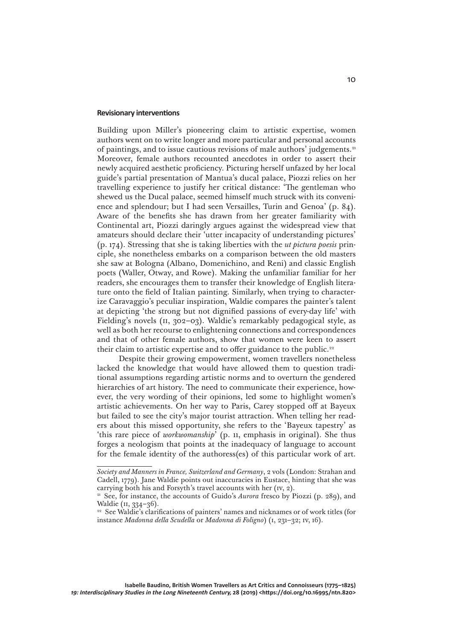## **Revisionary interventions**

Building upon Miller's pioneering claim to artistic expertise, women authors went on to write longer and more particular and personal accounts of paintings, and to issue cautious revisions of male authors' judgements.21 Moreover, female authors recounted anecdotes in order to assert their newly acquired aesthetic proficiency. Picturing herself unfazed by her local guide's partial presentation of Mantua's ducal palace, Piozzi relies on her travelling experience to justify her critical distance: 'The gentleman who shewed us the Ducal palace, seemed himself much struck with its convenience and splendour; but I had seen Versailles, Turin and Genoa' (p. 84). Aware of the benefits she has drawn from her greater familiarity with Continental art, Piozzi daringly argues against the widespread view that amateurs should declare their 'utter incapacity of understanding pictures' (p. 174). Stressing that she is taking liberties with the *ut pictura poesis* principle, she nonetheless embarks on a comparison between the old masters she saw at Bologna (Albano, Domenichino, and Reni) and classic English poets (Waller, Otway, and Rowe). Making the unfamiliar familiar for her readers, she encourages them to transfer their knowledge of English literature onto the field of Italian painting. Similarly, when trying to characterize Caravaggio's peculiar inspiration, Waldie compares the painter's talent at depicting 'the strong but not dignified passions of every-day life' with Fielding's novels (ii, 302–03). Waldie's remarkably pedagogical style, as well as both her recourse to enlightening connections and correspondences and that of other female authors, show that women were keen to assert their claim to artistic expertise and to offer guidance to the public.<sup>22</sup>

Despite their growing empowerment, women travellers nonetheless lacked the knowledge that would have allowed them to question traditional assumptions regarding artistic norms and to overturn the gendered hierarchies of art history. The need to communicate their experience, however, the very wording of their opinions, led some to highlight women's artistic achievements. On her way to Paris, Carey stopped off at Bayeux but failed to see the city's major tourist attraction. When telling her readers about this missed opportunity, she refers to the 'Bayeux tapestry' as 'this rare piece of *workwomanship*' (p. 11, emphasis in original). She thus forges a neologism that points at the inadequacy of language to account for the female identity of the authoress(es) of this particular work of art.

*Society and Manners in France, Switzerland and Germany*, 2 vols (London: Strahan and Cadell, 1779). Jane Waldie points out inaccuracies in Eustace, hinting that she was carrying both his and Forsyth's travel accounts with her (iv, 2).

<sup>&</sup>lt;sup>21</sup> See, for instance, the accounts of Guido's *Aurora* fresco by Piozzi (p. 289), and Waldie (II, 334-36).

<sup>&</sup>lt;sup>22</sup> See Waldie's clarifications of painters' names and nicknames or of work titles (for instance *Madonna della Scudella* or *Madonna di Foligno*) (i, 231–32; iv, 16).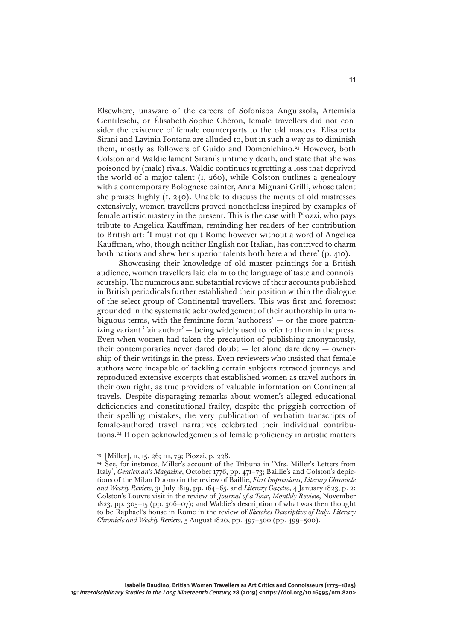Elsewhere, unaware of the careers of Sofonisba Anguissola, Artemisia Gentileschi, or Élisabeth-Sophie Chéron, female travellers did not consider the existence of female counterparts to the old masters. Elisabetta Sirani and Lavinia Fontana are alluded to, but in such a way as to diminish them, mostly as followers of Guido and Domenichino.<sup>23</sup> However, both Colston and Waldie lament Sirani's untimely death, and state that she was poisoned by (male) rivals. Waldie continues regretting a loss that deprived the world of a major talent (i, 260), while Colston outlines a genealogy with a contemporary Bolognese painter, Anna Mignani Grilli, whose talent she praises highly  $(i, 240)$ . Unable to discuss the merits of old mistresses extensively, women travellers proved nonetheless inspired by examples of female artistic mastery in the present. This is the case with Piozzi, who pays tribute to Angelica Kauffman, reminding her readers of her contribution to British art: 'I must not quit Rome however without a word of Angelica Kauffman, who, though neither English nor Italian, has contrived to charm both nations and shew her superior talents both here and there' (p. 410).

Showcasing their knowledge of old master paintings for a British audience, women travellers laid claim to the language of taste and connoisseurship. The numerous and substantial reviews of their accounts published in British periodicals further established their position within the dialogue of the select group of Continental travellers. This was first and foremost grounded in the systematic acknowledgement of their authorship in unambiguous terms, with the feminine form 'authoress' — or the more patronizing variant 'fair author' — being widely used to refer to them in the press. Even when women had taken the precaution of publishing anonymously, their contemporaries never dared doubt — let alone dare deny — ownership of their writings in the press. Even reviewers who insisted that female authors were incapable of tackling certain subjects retraced journeys and reproduced extensive excerpts that established women as travel authors in their own right, as true providers of valuable information on Continental travels. Despite disparaging remarks about women's alleged educational deficiencies and constitutional frailty, despite the priggish correction of their spelling mistakes, the very publication of verbatim transcripts of female-authored travel narratives celebrated their individual contributions.24 If open acknowledgements of female proficiency in artistic matters

<sup>23</sup> [Miller], ii, 15, 26; iii, 79; Piozzi, p. 228.

<sup>24</sup> See, for instance, Miller's account of the Tribuna in 'Mrs. Miller's Letters from Italy', *Gentleman's Magazine*, October 1776, pp. 471–73; Baillie's and Colston's depictions of the Milan Duomo in the review of Baillie, *First Impressions*, *Literary Chronicle and Weekly Review*, 31 July 1819, pp. 164–65, and *Literary Gazette*, 4 January 1823, p. 2; Colston's Louvre visit in the review of *Journal of a Tour*, *Monthly Review*, November 1823, pp. 305–15 (pp. 306–07); and Waldie's description of what was then thought to be Raphael's house in Rome in the review of *Sketches Descriptive of Italy*, *Literary Chronicle and Weekly Review*, 5 August 1820, pp. 497–500 (pp. 499–500).